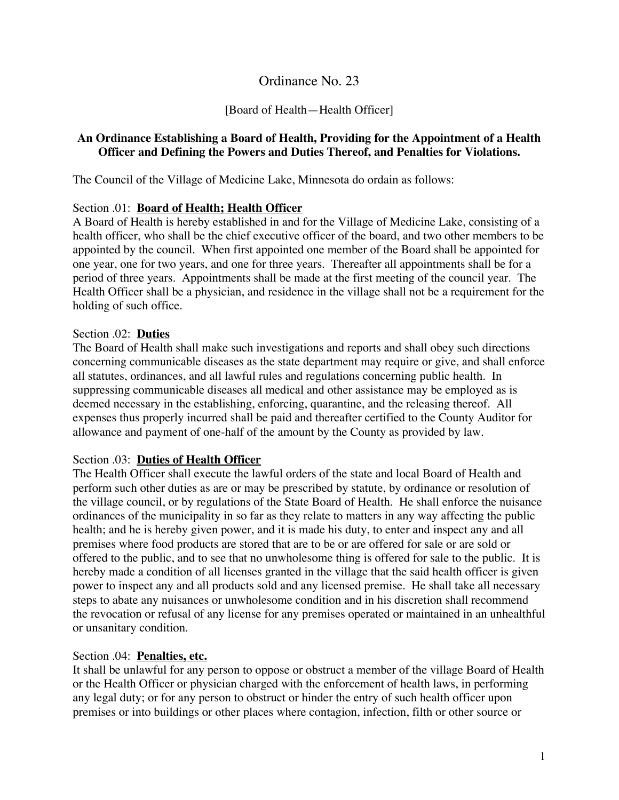# Ordinance No. 23

## [Board of Health—Health Officer]

## **An Ordinance Establishing a Board of Health, Providing for the Appointment of a Health Officer and Defining the Powers and Duties Thereof, and Penalties for Violations.**

The Council of the Village of Medicine Lake, Minnesota do ordain as follows:

## Section .01: **Board of Health; Health Officer**

A Board of Health is hereby established in and for the Village of Medicine Lake, consisting of a health officer, who shall be the chief executive officer of the board, and two other members to be appointed by the council. When first appointed one member of the Board shall be appointed for one year, one for two years, and one for three years. Thereafter all appointments shall be for a period of three years. Appointments shall be made at the first meeting of the council year. The Health Officer shall be a physician, and residence in the village shall not be a requirement for the holding of such office.

## Section .02: **Duties**

The Board of Health shall make such investigations and reports and shall obey such directions concerning communicable diseases as the state department may require or give, and shall enforce all statutes, ordinances, and all lawful rules and regulations concerning public health. In suppressing communicable diseases all medical and other assistance may be employed as is deemed necessary in the establishing, enforcing, quarantine, and the releasing thereof. All expenses thus properly incurred shall be paid and thereafter certified to the County Auditor for allowance and payment of one-half of the amount by the County as provided by law.

#### Section .03: **Duties of Health Officer**

The Health Officer shall execute the lawful orders of the state and local Board of Health and perform such other duties as are or may be prescribed by statute, by ordinance or resolution of the village council, or by regulations of the State Board of Health. He shall enforce the nuisance ordinances of the municipality in so far as they relate to matters in any way affecting the public health; and he is hereby given power, and it is made his duty, to enter and inspect any and all premises where food products are stored that are to be or are offered for sale or are sold or offered to the public, and to see that no unwholesome thing is offered for sale to the public. It is hereby made a condition of all licenses granted in the village that the said health officer is given power to inspect any and all products sold and any licensed premise. He shall take all necessary steps to abate any nuisances or unwholesome condition and in his discretion shall recommend the revocation or refusal of any license for any premises operated or maintained in an unhealthful or unsanitary condition.

#### Section .04: **Penalties, etc.**

It shall be unlawful for any person to oppose or obstruct a member of the village Board of Health or the Health Officer or physician charged with the enforcement of health laws, in performing any legal duty; or for any person to obstruct or hinder the entry of such health officer upon premises or into buildings or other places where contagion, infection, filth or other source or